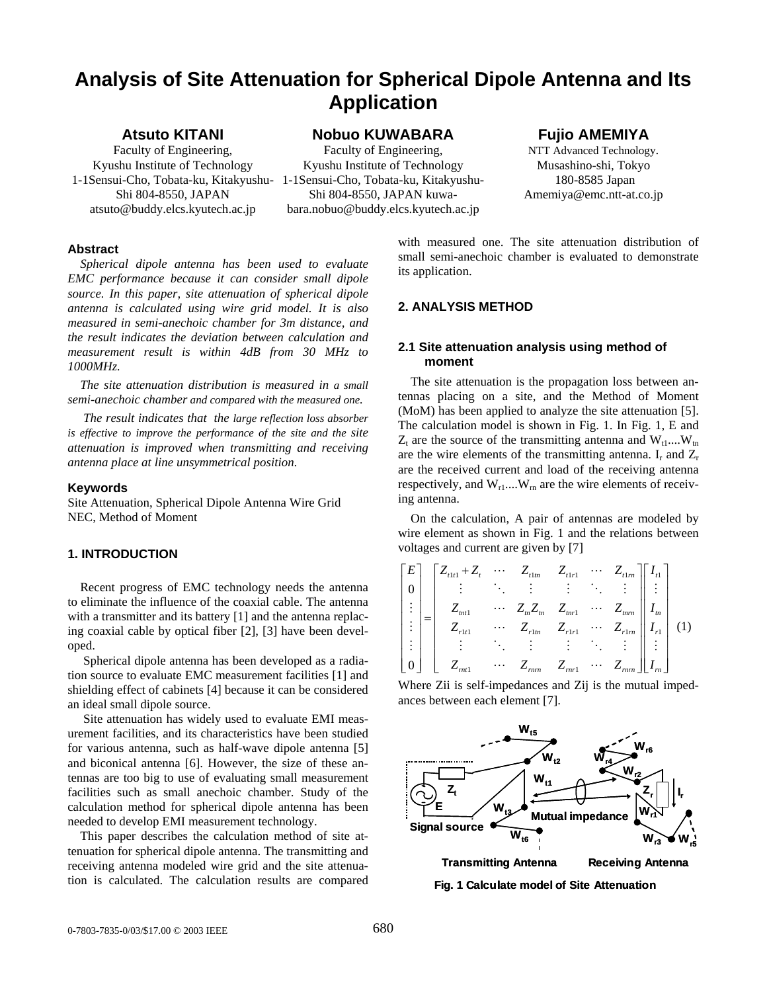# **Analysis of Site Attenuation for Spherical Dipole Antenna and Its Application**

# **Atsuto KITANI**

Faculty of Engineering, Kyushu Institute of Technology Shi 804-8550, JAPAN atsuto@buddy.elcs.kyutech.ac.jp **Nobuo KUWABARA** 

1-1Sensui-Cho, Tobata-ku, Kitakyushu-1-1Sensui-Cho, Tobata-ku, Kitakyushu-Faculty of Engineering, Kyushu Institute of Technology Shi 804-8550, JAPAN kuwabara.nobuo@buddy.elcs.kyutech.ac.jp

## **Fujio AMEMIYA**

NTT Advanced Technology. Musashino-shi, Tokyo 180-8585 Japan Amemiya@emc.ntt-at.co.jp

## **Abstract**

*Spherical dipole antenna has been used to evaluate EMC performance because it can consider small dipole source. In this paper, site attenuation of spherical dipole antenna is calculated using wire grid model. It is also measured in semi-anechoic chamber for 3m distance, and the result indicates the deviation between calculation and measurement result is within 4dB from 30 MHz to 1000MHz.* 

*The site attenuation distribution is measured in a small semi-anechoic chamber and compared with the measured one.* 

 *The result indicates that the large reflection loss absorber is effective to improve the performance of the site and the site attenuation is improved when transmitting and receiving antenna place at line unsymmetrical position.*

## **Keywords**

Site Attenuation, Spherical Dipole Antenna Wire Grid NEC, Method of Moment

## **1. INTRODUCTION**

Recent progress of EMC technology needs the antenna to eliminate the influence of the coaxial cable. The antenna with a transmitter and its battery [1] and the antenna replacing coaxial cable by optical fiber [2], [3] have been developed.

 Spherical dipole antenna has been developed as a radiation source to evaluate EMC measurement facilities [1] and shielding effect of cabinets [4] because it can be considered an ideal small dipole source.

 Site attenuation has widely used to evaluate EMI measurement facilities, and its characteristics have been studied for various antenna, such as half-wave dipole antenna [5] and biconical antenna [6]. However, the size of these antennas are too big to use of evaluating small measurement facilities such as small anechoic chamber. Study of the calculation method for spherical dipole antenna has been needed to develop EMI measurement technology.

This paper describes the calculation method of site attenuation for spherical dipole antenna. The transmitting and receiving antenna modeled wire grid and the site attenuation is calculated. The calculation results are compared with measured one. The site attenuation distribution of small semi-anechoic chamber is evaluated to demonstrate its application.

## **2. ANALYSIS METHOD**

## **2.1 Site attenuation analysis using method of moment**

The site attenuation is the propagation loss between antennas placing on a site, and the Method of Moment (MoM) has been applied to analyze the site attenuation [5]. The calculation model is shown in Fig. 1. In Fig. 1, E and  $Z_t$  are the source of the transmitting antenna and  $W_t$ <sub>1</sub>.... $W_{tn}$ are the wire elements of the transmitting antenna.  $I_r$  and  $Z_r$ are the received current and load of the receiving antenna respectively, and  $W_{r1}$ .... $W_m$  are the wire elements of receiving antenna.

On the calculation, A pair of antennas are modeled by wire element as shown in Fig. 1 and the relations between voltages and current are given by [7]

| $\lceil E \rceil$ | $Z_{t1t1} + Z_t$ $Z_{t1m}$ $Z_{t1r1}$ $Z_{t1m}$ |                                                                                         |                              |                 |             |  |
|-------------------|-------------------------------------------------|-----------------------------------------------------------------------------------------|------------------------------|-----------------|-------------|--|
|                   |                                                 | $\frac{1}{2}$ and $\frac{1}{2}$                                                         | $\mathcal{L}_{\text{max}}$ . |                 |             |  |
|                   | $Z_{mt1}$                                       | $\cdots \quad Z_m Z_m \quad Z_{mr1} \quad \cdots \quad Z_{mrn} \mid$                    |                              |                 | $\perp I_m$ |  |
|                   | $\bar{Z}_{rlt1}$                                | $Z_{r1m}$ $Z_{r1r1}$ $\cdots$ $Z_{r1m}$ $I_{r1}$<br>$\vdots$ $\vdots$ $\vdots$ $\vdots$ |                              |                 |             |  |
|                   |                                                 |                                                                                         |                              |                 |             |  |
|                   | $Z_{mt1}$                                       | $\cdots$ $Z_{rnrn}$ $Z_{rnr1}$                                                          |                              | $\cdots Z_{mm}$ |             |  |

Where Zii is self-impedances and Zij is the mutual impedances between each element [7].



**Transmitting Antenna Receiving Antenna Fig. 1 Calculate model of Site Attenuation**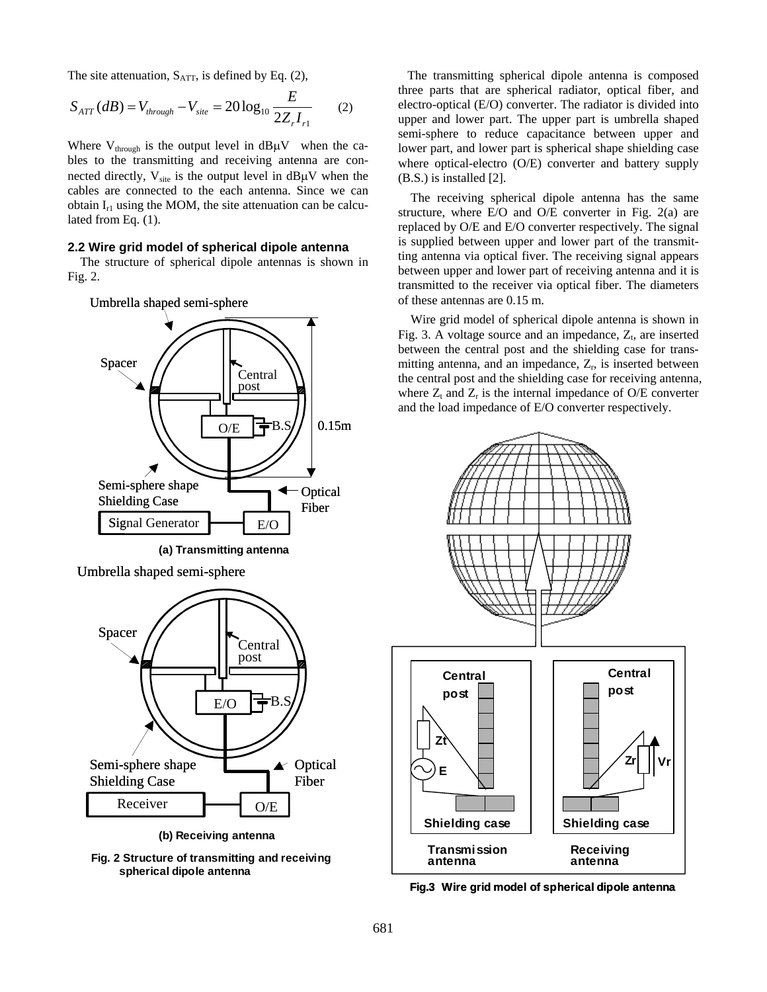The site attenuation,  $S_{\text{ATT}}$ , is defined by Eq. (2),

$$
S_{ATT}(dB) = V_{through} - V_{site} = 20 \log_{10} \frac{E}{2Z_{r}I_{r1}}
$$
 (2)

Where  $V_{\text{through}}$  is the output level in  $dB\mu V$  when the cables to the transmitting and receiving antenna are connected directly,  $V_{site}$  is the output level in dB $\mu$ V when the cables are connected to the each antenna. Since we can obtain  $I_{r1}$  using the MOM, the site attenuation can be calculated from Eq. (1).

## **2.2 Wire grid model of spherical dipole antenna**

The structure of spherical dipole antennas is shown in Fig. 2.



**(a) Transmitting antenna**

Umbrella shaped semi-sphere



**Fig. 2 Structure of transmitting and receiving spherical dipole antenna**

 The transmitting spherical dipole antenna is composed three parts that are spherical radiator, optical fiber, and electro-optical (E/O) converter. The radiator is divided into upper and lower part. The upper part is umbrella shaped semi-sphere to reduce capacitance between upper and lower part, and lower part is spherical shape shielding case where optical-electro (O/E) converter and battery supply (B.S.) is installed [2].

The receiving spherical dipole antenna has the same structure, where E/O and O/E converter in Fig. 2(a) are replaced by O/E and E/O converter respectively. The signal is supplied between upper and lower part of the transmitting antenna via optical fiver. The receiving signal appears between upper and lower part of receiving antenna and it is transmitted to the receiver via optical fiber. The diameters of these antennas are 0.15 m.

Wire grid model of spherical dipole antenna is shown in Fig. 3. A voltage source and an impedance,  $Z_t$ , are inserted between the central post and the shielding case for transmitting antenna, and an impedance,  $Z_r$ , is inserted between the central post and the shielding case for receiving antenna, where  $Z_t$  and  $Z_r$  is the internal impedance of O/E converter and the load impedance of E/O converter respectively.



**Fig.3 Wire grid model of spherical dipole antenna**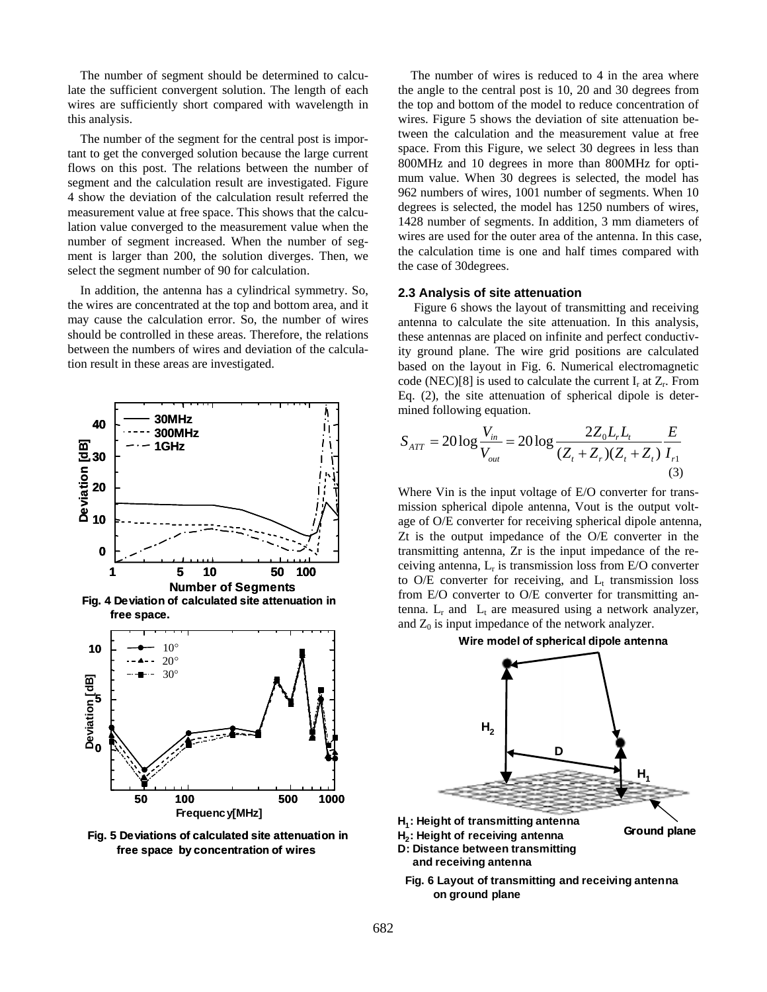The number of segment should be determined to calculate the sufficient convergent solution. The length of each wires are sufficiently short compared with wavelength in this analysis.

The number of the segment for the central post is important to get the converged solution because the large current flows on this post. The relations between the number of segment and the calculation result are investigated. Figure 4 show the deviation of the calculation result referred the measurement value at free space. This shows that the calculation value converged to the measurement value when the number of segment increased. When the number of segment is larger than 200, the solution diverges. Then, we select the segment number of 90 for calculation.

In addition, the antenna has a cylindrical symmetry. So, the wires are concentrated at the top and bottom area, and it may cause the calculation error. So, the number of wires should be controlled in these areas. Therefore, the relations between the numbers of wires and deviation of the calculation result in these areas are investigated.



**Fig. 5 Deviations of calculated site attenuation in free space by concentration of wires**

The number of wires is reduced to 4 in the area where the angle to the central post is 10, 20 and 30 degrees from the top and bottom of the model to reduce concentration of wires. Figure 5 shows the deviation of site attenuation between the calculation and the measurement value at free space. From this Figure, we select 30 degrees in less than 800MHz and 10 degrees in more than 800MHz for optimum value. When 30 degrees is selected, the model has 962 numbers of wires, 1001 number of segments. When 10 degrees is selected, the model has 1250 numbers of wires, 1428 number of segments. In addition, 3 mm diameters of wires are used for the outer area of the antenna. In this case, the calculation time is one and half times compared with the case of 30degrees.

## **2.3 Analysis of site attenuation**

 Figure 6 shows the layout of transmitting and receiving antenna to calculate the site attenuation. In this analysis, these antennas are placed on infinite and perfect conductivity ground plane. The wire grid positions are calculated based on the layout in Fig. 6. Numerical electromagnetic code (NEC)[8] is used to calculate the current  $I_r$  at  $Z_r$ . From Eq. (2), the site attenuation of spherical dipole is determined following equation.

$$
S_{ATT} = 20 \log \frac{V_{in}}{V_{out}} = 20 \log \frac{2Z_0 L_r L_t}{(Z_t + Z_r)(Z_t + Z_t)} \frac{E}{I_{r1}}
$$
(3)

Where Vin is the input voltage of E/O converter for transmission spherical dipole antenna, Vout is the output voltage of O/E converter for receiving spherical dipole antenna, Zt is the output impedance of the O/E converter in the transmitting antenna, Zr is the input impedance of the receiving antenna,  $L_r$  is transmission loss from E/O converter to O/E converter for receiving, and  $L_t$  transmission loss from E/O converter to O/E converter for transmitting antenna.  $L_r$  and  $L_t$  are measured using a network analyzer, and  $Z_0$  is input impedance of the network analyzer.



- **H<sub>2</sub>: Height of receiving antenna**
- **D: Distance between transmitting and receiving antenna**
- **Fig. 6 Layout of transmitting and receiving antenna on ground plane**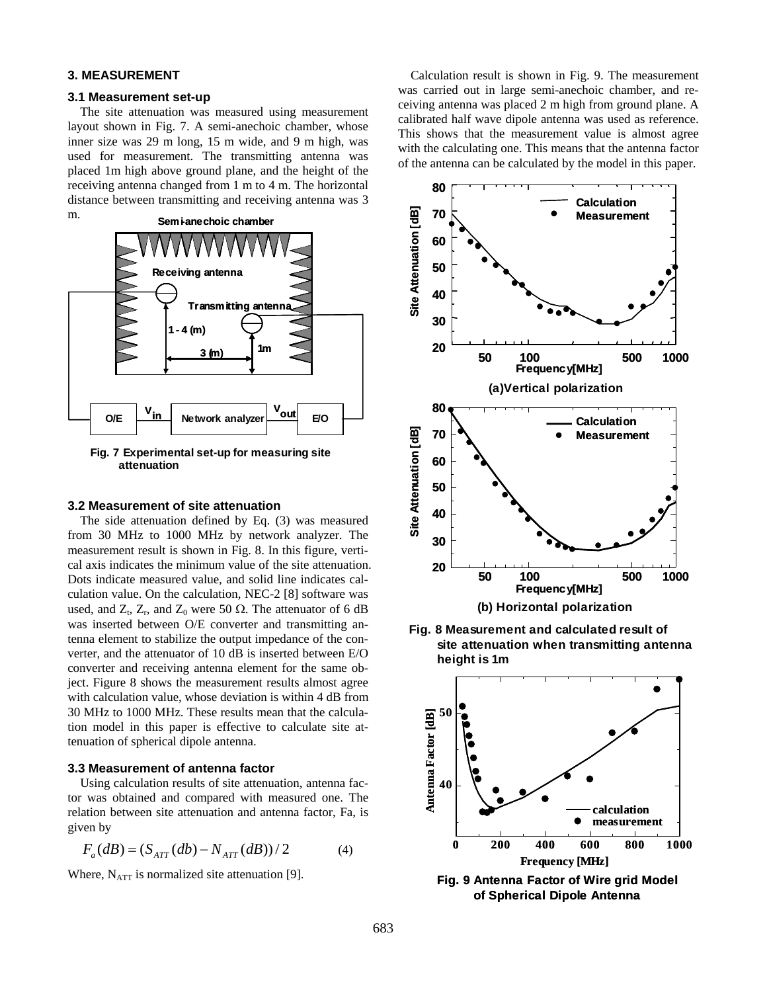## **3. MEASUREMENT**

#### **3.1 Measurement set-up**

The site attenuation was measured using measurement layout shown in Fig. 7. A semi-anechoic chamber, whose inner size was 29 m long, 15 m wide, and 9 m high, was used for measurement. The transmitting antenna was placed 1m high above ground plane, and the height of the receiving antenna changed from 1 m to 4 m. The horizontal distance between transmitting and receiving antenna was 3



**Fig. 7 Experimental set-up for measuring site attenuation**

## **3.2 Measurement of site attenuation**

The side attenuation defined by Eq. (3) was measured from 30 MHz to 1000 MHz by network analyzer. The measurement result is shown in Fig. 8. In this figure, vertical axis indicates the minimum value of the site attenuation. Dots indicate measured value, and solid line indicates calculation value. On the calculation, NEC-2 [8] software was used, and  $Z_t$ ,  $Z_r$ , and  $Z_0$  were 50  $\Omega$ . The attenuator of 6 dB was inserted between O/E converter and transmitting antenna element to stabilize the output impedance of the converter, and the attenuator of 10 dB is inserted between E/O converter and receiving antenna element for the same object. Figure 8 shows the measurement results almost agree with calculation value, whose deviation is within 4 dB from 30 MHz to 1000 MHz. These results mean that the calculation model in this paper is effective to calculate site attenuation of spherical dipole antenna.

#### **3.3 Measurement of antenna factor**

Using calculation results of site attenuation, antenna factor was obtained and compared with measured one. The relation between site attenuation and antenna factor, Fa, is given by

$$
F_a(dB) = (S_{ATT}(db) - N_{ATT}(dB))/2
$$
 (4)

Where,  $N_{ATT}$  is normalized site attenuation [9].

Calculation result is shown in Fig. 9. The measurement was carried out in large semi-anechoic chamber, and receiving antenna was placed 2 m high from ground plane. A calibrated half wave dipole antenna was used as reference. This shows that the measurement value is almost agree with the calculating one. This means that the antenna factor of the antenna can be calculated by the model in this paper.



**Fig. 8 Measurement and calculated result of site attenuation when transmitting antenna height is 1m**



**Fig. 9 Antenna Factor of Wire grid Model of Spherical Dipole Antenna**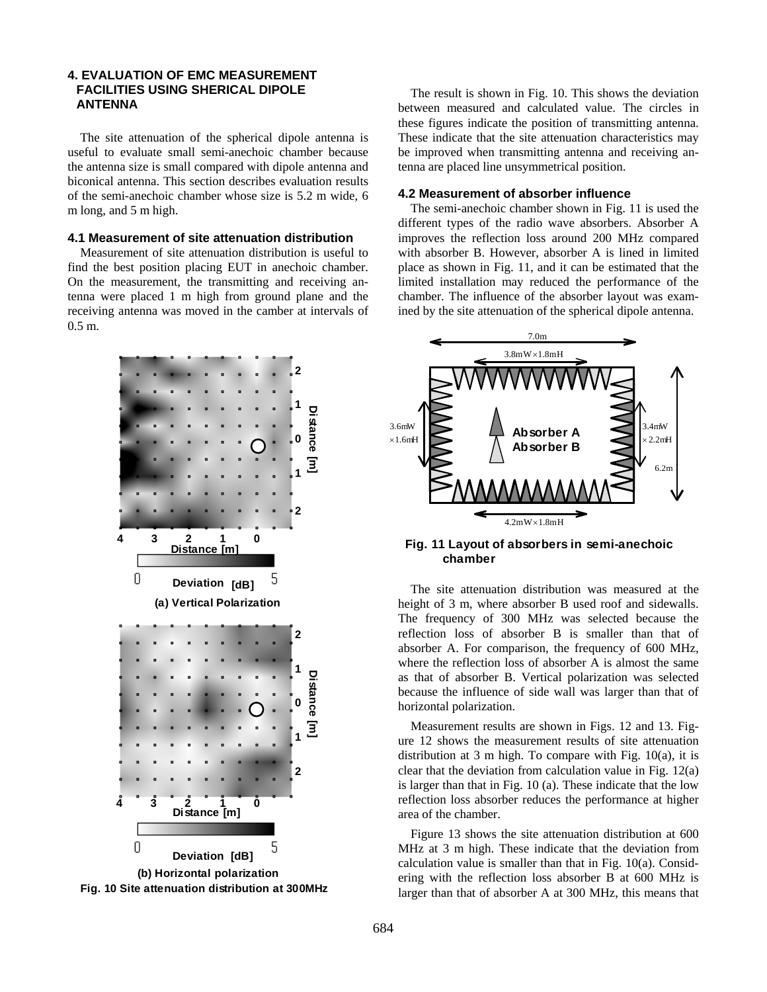## **4. EVALUATION OF EMC MEASUREMENT FACILITIES USING SHERICAL DIPOLE ANTENNA**

The site attenuation of the spherical dipole antenna is useful to evaluate small semi-anechoic chamber because the antenna size is small compared with dipole antenna and biconical antenna. This section describes evaluation results of the semi-anechoic chamber whose size is 5.2 m wide, 6 m long, and 5 m high.

#### **4.1 Measurement of site attenuation distribution**

Measurement of site attenuation distribution is useful to find the best position placing EUT in anechoic chamber. On the measurement, the transmitting and receiving antenna were placed 1 m high from ground plane and the receiving antenna was moved in the camber at intervals of 0.5 m.





The result is shown in Fig. 10. This shows the deviation between measured and calculated value. The circles in these figures indicate the position of transmitting antenna. These indicate that the site attenuation characteristics may be improved when transmitting antenna and receiving antenna are placed line unsymmetrical position.

#### **4.2 Measurement of absorber influence**

The semi-anechoic chamber shown in Fig. 11 is used the different types of the radio wave absorbers. Absorber A improves the reflection loss around 200 MHz compared with absorber B. However, absorber A is lined in limited place as shown in Fig. 11, and it can be estimated that the limited installation may reduced the performance of the chamber. The influence of the absorber layout was examined by the site attenuation of the spherical dipole antenna.



**Fig. 11 Layout of absorbers in semi-anechoic chamber**

The site attenuation distribution was measured at the height of 3 m, where absorber B used roof and sidewalls. The frequency of 300 MHz was selected because the reflection loss of absorber B is smaller than that of absorber A. For comparison, the frequency of 600 MHz, where the reflection loss of absorber A is almost the same as that of absorber B. Vertical polarization was selected because the influence of side wall was larger than that of horizontal polarization.

Measurement results are shown in Figs. 12 and 13. Figure 12 shows the measurement results of site attenuation distribution at 3 m high. To compare with Fig. 10(a), it is clear that the deviation from calculation value in Fig. 12(a) is larger than that in Fig. 10 (a). These indicate that the low reflection loss absorber reduces the performance at higher area of the chamber.

Figure 13 shows the site attenuation distribution at 600 MHz at 3 m high. These indicate that the deviation from calculation value is smaller than that in Fig. 10(a). Considering with the reflection loss absorber B at 600 MHz is larger than that of absorber A at 300 MHz, this means that